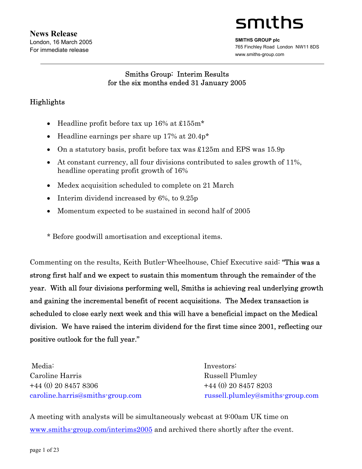# smiths

**SMITHS GROUP plc**  765 Finchley Road London NW11 8DS www.smiths-group.com

# Smiths Group: Interim Results for the six months ended 31 January 2005

# Highlights

- Headline profit before tax up 16% at £155m\*
- Headline earnings per share up 17% at 20.4p<sup>\*</sup>
- On a statutory basis, profit before tax was £125m and EPS was 15.9p
- At constant currency, all four divisions contributed to sales growth of 11%, headline operating profit growth of 16%
- Medex acquisition scheduled to complete on 21 March
- Interim dividend increased by 6%, to 9.25p
- Momentum expected to be sustained in second half of 2005
- \* Before goodwill amortisation and exceptional items.

Commenting on the results, Keith Butler-Wheelhouse, Chief Executive said: "This was a strong first half and we expect to sustain this momentum through the remainder of the year. With all four divisions performing well, Smiths is achieving real underlying growth and gaining the incremental benefit of recent acquisitions. The Medex transaction is scheduled to close early next week and this will have a beneficial impact on the Medical division. We have raised the interim dividend for the first time since 2001, reflecting our positive outlook for the full year."

Media: Investors: Caroline Harris Russell Plumley +44 (0) 20 8457 8306 +44 (0) 20 8457 8203

caroline.harris@smiths-group.com russell.plumley@smiths-group.com

A meeting with analysts will be simultaneously webcast at 9:00am UK time on www.smiths-group.com/interims2005 and archived there shortly after the event.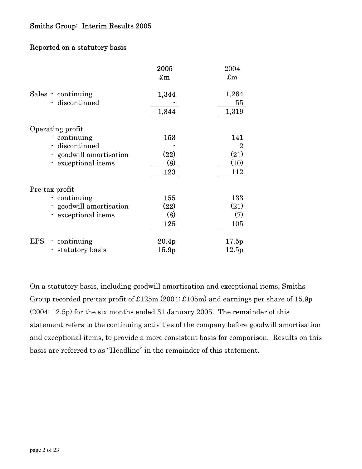## Reported on a statutory basis

|                            | 2005                                                | 2004           |
|----------------------------|-----------------------------------------------------|----------------|
|                            | $\pmb{\pmb{\pmb{\pmb{\varepsilon}}}}\pmb{\text{m}}$ | $\pounds$ m    |
| Sales - continuing         | 1,344                                               | 1,264          |
| - discontinued             |                                                     | 55             |
|                            | 1,344                                               | 1,319          |
| Operating profit           |                                                     |                |
| continuing                 | 153                                                 | 141            |
| - discontinued             |                                                     | $\overline{2}$ |
| - goodwill amortisation    | (22)                                                | (21)           |
| - exceptional items        | (8)                                                 | (10)           |
|                            | 123                                                 | 112            |
| Pre-tax profit             |                                                     |                |
| continuing                 | 155                                                 | 133            |
| - goodwill amortisation    | (22)                                                | (21)           |
| - exceptional items        | (8)                                                 | (7)            |
|                            | 125                                                 | 105            |
| <b>EPS</b><br>- continuing | 20.4p                                               | 17.5p          |
| statutory basis            | 15.9 <sub>p</sub>                                   | 12.5p          |
|                            |                                                     |                |

On a statutory basis, including goodwill amortisation and exceptional items, Smiths Group recorded pre-tax profit of £125m (2004: £105m) and earnings per share of 15.9p (2004: 12.5p) for the six months ended 31 January 2005. The remainder of this statement refers to the continuing activities of the company before goodwill amortisation and exceptional items, to provide a more consistent basis for comparison. Results on this basis are referred to as "Headline" in the remainder of this statement.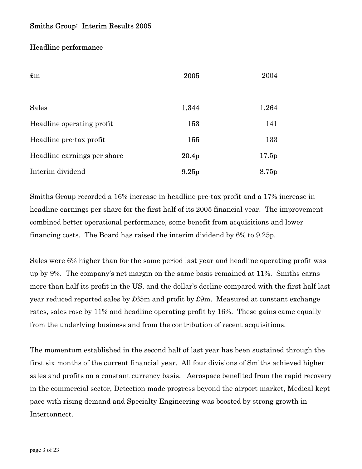### Headline performance

| $\pounds$ m                 | 2005              | 2004  |
|-----------------------------|-------------------|-------|
| <b>Sales</b>                | 1,344             | 1,264 |
| Headline operating profit   | 153               | 141   |
| Headline pre-tax profit     | 155               | 133   |
| Headline earnings per share | 20.4 <sub>p</sub> | 17.5p |
| Interim dividend            | 9.25 <sub>p</sub> | 8.75p |

Smiths Group recorded a 16% increase in headline pre-tax profit and a 17% increase in headline earnings per share for the first half of its 2005 financial year. The improvement combined better operational performance, some benefit from acquisitions and lower financing costs. The Board has raised the interim dividend by 6% to 9.25p.

Sales were 6% higher than for the same period last year and headline operating profit was up by 9%. The company's net margin on the same basis remained at 11%. Smiths earns more than half its profit in the US, and the dollar's decline compared with the first half last year reduced reported sales by £65m and profit by £9m. Measured at constant exchange rates, sales rose by 11% and headline operating profit by 16%. These gains came equally from the underlying business and from the contribution of recent acquisitions.

The momentum established in the second half of last year has been sustained through the first six months of the current financial year. All four divisions of Smiths achieved higher sales and profits on a constant currency basis. Aerospace benefited from the rapid recovery in the commercial sector, Detection made progress beyond the airport market, Medical kept pace with rising demand and Specialty Engineering was boosted by strong growth in Interconnect.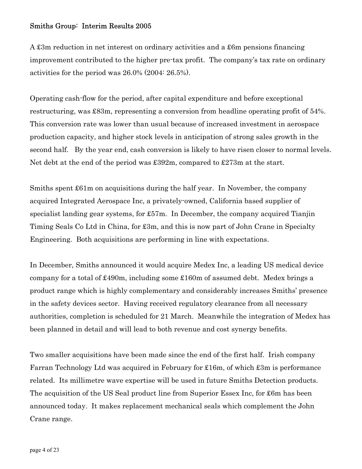A £3m reduction in net interest on ordinary activities and a £6m pensions financing improvement contributed to the higher pre-tax profit. The company's tax rate on ordinary activities for the period was 26.0% (2004: 26.5%).

Operating cash-flow for the period, after capital expenditure and before exceptional restructuring, was £83m, representing a conversion from headline operating profit of 54%. This conversion rate was lower than usual because of increased investment in aerospace production capacity, and higher stock levels in anticipation of strong sales growth in the second half. By the year end, cash conversion is likely to have risen closer to normal levels. Net debt at the end of the period was £392m, compared to £273m at the start.

Smiths spent £61m on acquisitions during the half year. In November, the company acquired Integrated Aerospace Inc, a privately-owned, California based supplier of specialist landing gear systems, for £57m. In December, the company acquired Tianjin Timing Seals Co Ltd in China, for £3m, and this is now part of John Crane in Specialty Engineering. Both acquisitions are performing in line with expectations.

In December, Smiths announced it would acquire Medex Inc, a leading US medical device company for a total of £490m, including some £160m of assumed debt. Medex brings a product range which is highly complementary and considerably increases Smiths' presence in the safety devices sector. Having received regulatory clearance from all necessary authorities, completion is scheduled for 21 March. Meanwhile the integration of Medex has been planned in detail and will lead to both revenue and cost synergy benefits.

Two smaller acquisitions have been made since the end of the first half. Irish company Farran Technology Ltd was acquired in February for £16m, of which £3m is performance related. Its millimetre wave expertise will be used in future Smiths Detection products. The acquisition of the US Seal product line from Superior Essex Inc, for £6m has been announced today. It makes replacement mechanical seals which complement the John Crane range.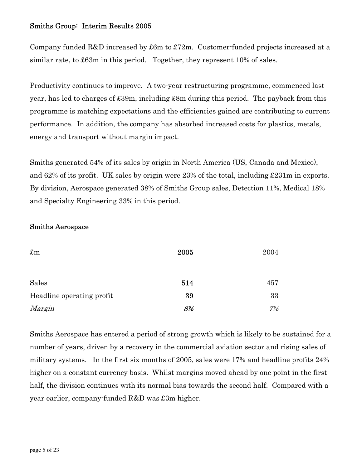Company funded R&D increased by £6m to £72m. Customer-funded projects increased at a similar rate, to £63m in this period. Together, they represent 10% of sales.

Productivity continues to improve. A two-year restructuring programme, commenced last year, has led to charges of £39m, including £8m during this period. The payback from this programme is matching expectations and the efficiencies gained are contributing to current performance. In addition, the company has absorbed increased costs for plastics, metals, energy and transport without margin impact.

Smiths generated 54% of its sales by origin in North America (US, Canada and Mexico), and 62% of its profit. UK sales by origin were 23% of the total, including £231m in exports. By division, Aerospace generated 38% of Smiths Group sales, Detection 11%, Medical 18% and Specialty Engineering 33% in this period.

### Smiths Aerospace

| $\pounds$ m               | 2005 | 2004 |
|---------------------------|------|------|
|                           |      |      |
| Sales                     | 514  | 457  |
| Headline operating profit | 39   | 33   |
| Margin                    | 8%   | 7%   |

Smiths Aerospace has entered a period of strong growth which is likely to be sustained for a number of years, driven by a recovery in the commercial aviation sector and rising sales of military systems. In the first six months of 2005, sales were 17% and headline profits 24% higher on a constant currency basis. Whilst margins moved ahead by one point in the first half, the division continues with its normal bias towards the second half. Compared with a year earlier, company-funded R&D was £3m higher.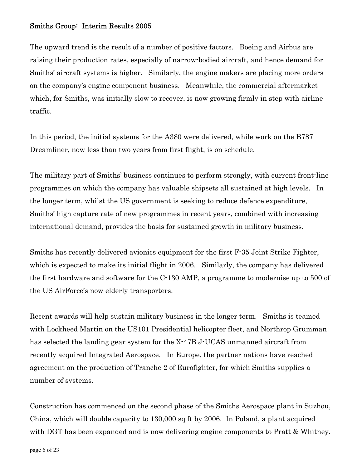The upward trend is the result of a number of positive factors. Boeing and Airbus are raising their production rates, especially of narrow-bodied aircraft, and hence demand for Smiths' aircraft systems is higher. Similarly, the engine makers are placing more orders on the company's engine component business. Meanwhile, the commercial aftermarket which, for Smiths, was initially slow to recover, is now growing firmly in step with airline traffic.

In this period, the initial systems for the A380 were delivered, while work on the B787 Dreamliner, now less than two years from first flight, is on schedule.

The military part of Smiths' business continues to perform strongly, with current front-line programmes on which the company has valuable shipsets all sustained at high levels. In the longer term, whilst the US government is seeking to reduce defence expenditure, Smiths' high capture rate of new programmes in recent years, combined with increasing international demand, provides the basis for sustained growth in military business.

Smiths has recently delivered avionics equipment for the first F-35 Joint Strike Fighter, which is expected to make its initial flight in 2006. Similarly, the company has delivered the first hardware and software for the C-130 AMP, a programme to modernise up to 500 of the US AirForce's now elderly transporters.

Recent awards will help sustain military business in the longer term. Smiths is teamed with Lockheed Martin on the US101 Presidential helicopter fleet, and Northrop Grumman has selected the landing gear system for the X-47B J-UCAS unmanned aircraft from recently acquired Integrated Aerospace. In Europe, the partner nations have reached agreement on the production of Tranche 2 of Eurofighter, for which Smiths supplies a number of systems.

Construction has commenced on the second phase of the Smiths Aerospace plant in Suzhou, China, which will double capacity to 130,000 sq ft by 2006. In Poland, a plant acquired with DGT has been expanded and is now delivering engine components to Pratt & Whitney.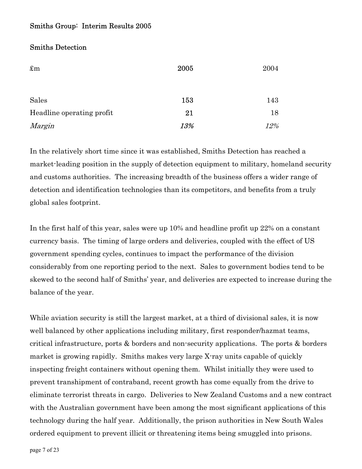### Smiths Detection

| $\pounds$ m               | 2005 | 2004 |
|---------------------------|------|------|
|                           |      |      |
|                           |      |      |
| Sales                     | 153  | 143  |
| Headline operating profit | 21   | 18   |
| Margin                    | 13%  | 12%  |

In the relatively short time since it was established, Smiths Detection has reached a market-leading position in the supply of detection equipment to military, homeland security and customs authorities. The increasing breadth of the business offers a wider range of detection and identification technologies than its competitors, and benefits from a truly global sales footprint.

In the first half of this year, sales were up 10% and headline profit up 22% on a constant currency basis. The timing of large orders and deliveries, coupled with the effect of US government spending cycles, continues to impact the performance of the division considerably from one reporting period to the next. Sales to government bodies tend to be skewed to the second half of Smiths' year, and deliveries are expected to increase during the balance of the year.

While aviation security is still the largest market, at a third of divisional sales, it is now well balanced by other applications including military, first responder/hazmat teams, critical infrastructure, ports & borders and non-security applications. The ports & borders market is growing rapidly. Smiths makes very large X-ray units capable of quickly inspecting freight containers without opening them. Whilst initially they were used to prevent transhipment of contraband, recent growth has come equally from the drive to eliminate terrorist threats in cargo. Deliveries to New Zealand Customs and a new contract with the Australian government have been among the most significant applications of this technology during the half year. Additionally, the prison authorities in New South Wales ordered equipment to prevent illicit or threatening items being smuggled into prisons.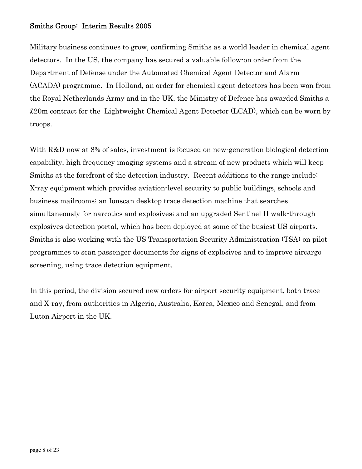Military business continues to grow, confirming Smiths as a world leader in chemical agent detectors. In the US, the company has secured a valuable follow-on order from the Department of Defense under the Automated Chemical Agent Detector and Alarm (ACADA) programme. In Holland, an order for chemical agent detectors has been won from the Royal Netherlands Army and in the UK, the Ministry of Defence has awarded Smiths a £20m contract for the Lightweight Chemical Agent Detector (LCAD), which can be worn by troops.

With R&D now at 8% of sales, investment is focused on new-generation biological detection capability, high frequency imaging systems and a stream of new products which will keep Smiths at the forefront of the detection industry. Recent additions to the range include: X-ray equipment which provides aviation-level security to public buildings, schools and business mailrooms; an Ionscan desktop trace detection machine that searches simultaneously for narcotics and explosives; and an upgraded Sentinel II walk-through explosives detection portal, which has been deployed at some of the busiest US airports. Smiths is also working with the US Transportation Security Administration (TSA) on pilot programmes to scan passenger documents for signs of explosives and to improve aircargo screening, using trace detection equipment.

In this period, the division secured new orders for airport security equipment, both trace and X-ray, from authorities in Algeria, Australia, Korea, Mexico and Senegal, and from Luton Airport in the UK.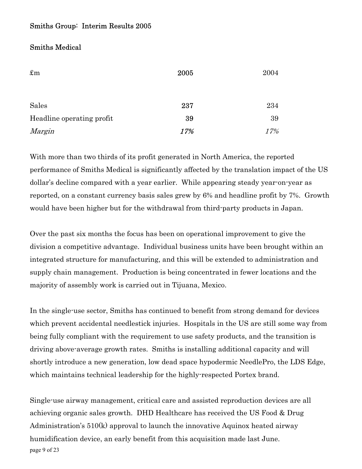### Smiths Medical

| $\pounds$ m               | 2005 | 2004 |  |
|---------------------------|------|------|--|
|                           |      |      |  |
|                           |      |      |  |
| Sales                     | 237  | 234  |  |
| Headline operating profit | 39   | 39   |  |
| Margin                    | 17%  | 17%  |  |

With more than two thirds of its profit generated in North America, the reported performance of Smiths Medical is significantly affected by the translation impact of the US dollar's decline compared with a year earlier. While appearing steady year-on-year as reported, on a constant currency basis sales grew by 6% and headline profit by 7%. Growth would have been higher but for the withdrawal from third-party products in Japan.

Over the past six months the focus has been on operational improvement to give the division a competitive advantage. Individual business units have been brought within an integrated structure for manufacturing, and this will be extended to administration and supply chain management. Production is being concentrated in fewer locations and the majority of assembly work is carried out in Tijuana, Mexico.

In the single-use sector, Smiths has continued to benefit from strong demand for devices which prevent accidental needlestick injuries. Hospitals in the US are still some way from being fully compliant with the requirement to use safety products, and the transition is driving above-average growth rates. Smiths is installing additional capacity and will shortly introduce a new generation, low dead space hypodermic NeedlePro, the LDS Edge, which maintains technical leadership for the highly-respected Portex brand.

page 9 of 23 Single-use airway management, critical care and assisted reproduction devices are all achieving organic sales growth. DHD Healthcare has received the US Food & Drug Administration's 510(k) approval to launch the innovative Aquinox heated airway humidification device, an early benefit from this acquisition made last June.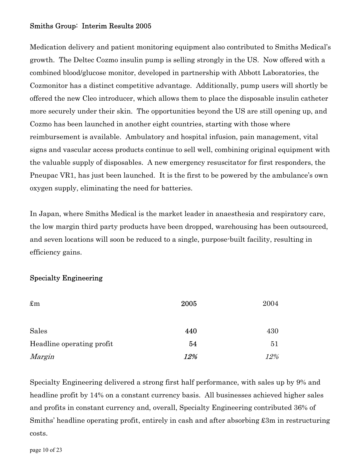Medication delivery and patient monitoring equipment also contributed to Smiths Medical's growth. The Deltec Cozmo insulin pump is selling strongly in the US. Now offered with a combined blood/glucose monitor, developed in partnership with Abbott Laboratories, the Cozmonitor has a distinct competitive advantage. Additionally, pump users will shortly be offered the new Cleo introducer, which allows them to place the disposable insulin catheter more securely under their skin. The opportunities beyond the US are still opening up, and Cozmo has been launched in another eight countries, starting with those where reimbursement is available. Ambulatory and hospital infusion, pain management, vital signs and vascular access products continue to sell well, combining original equipment with the valuable supply of disposables. A new emergency resuscitator for first responders, the Pneupac VR1, has just been launched. It is the first to be powered by the ambulance's own oxygen supply, eliminating the need for batteries.

In Japan, where Smiths Medical is the market leader in anaesthesia and respiratory care, the low margin third party products have been dropped, warehousing has been outsourced, and seven locations will soon be reduced to a single, purpose-built facility, resulting in efficiency gains.

### Specialty Engineering

| $\pounds$ m               | 2005 | 2004 |
|---------------------------|------|------|
|                           |      |      |
| Sales                     | 440  | 430  |
| Headline operating profit | 54   | 51   |
| Margin                    | 12%  | 12%  |

Specialty Engineering delivered a strong first half performance, with sales up by 9% and headline profit by 14% on a constant currency basis. All businesses achieved higher sales and profits in constant currency and, overall, Specialty Engineering contributed 36% of Smiths' headline operating profit, entirely in cash and after absorbing £3m in restructuring costs.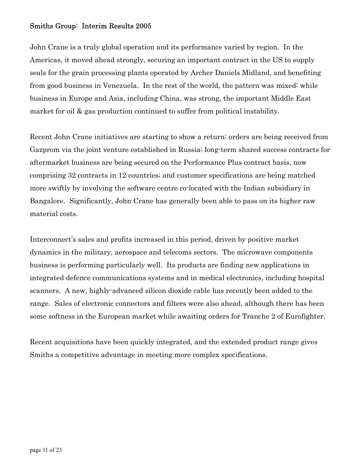John Crane is a truly global operation and its performance varied by region. In the Americas, it moved ahead strongly, securing an important contract in the US to supply seals for the grain processing plants operated by Archer Daniels Midland, and benefiting from good business in Venezuela. In the rest of the world, the pattern was mixed: while business in Europe and Asia, including China, was strong, the important Middle East market for oil & gas production continued to suffer from political instability.

Recent John Crane initiatives are starting to show a return: orders are being received from Gazprom via the joint venture established in Russia; long-term shared success contracts for aftermarket business are being secured on the Performance Plus contract basis, now comprising 32 contracts in 12 countries; and customer specifications are being matched more swiftly by involving the software centre co-located with the Indian subsidiary in Bangalore. Significantly, John Crane has generally been able to pass on its higher raw material costs.

Interconnect's sales and profits increased in this period, driven by positive market dynamics in the military, aerospace and telecoms sectors. The microwave components business is performing particularly well. Its products are finding new applications in integrated defence communications systems and in medical electronics, including hospital scanners. A new, highly-advanced silicon dioxide cable has recently been added to the range. Sales of electronic connectors and filters were also ahead, although there has been some softness in the European market while awaiting orders for Tranche 2 of Eurofighter.

Recent acquisitions have been quickly integrated, and the extended product range gives Smiths a competitive advantage in meeting more complex specifications.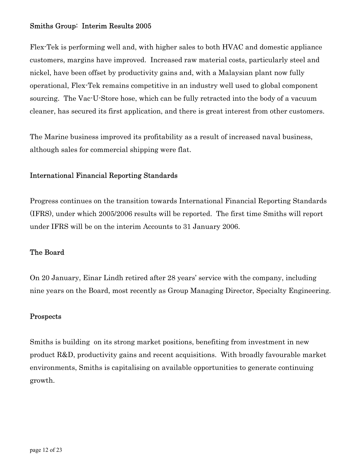Flex-Tek is performing well and, with higher sales to both HVAC and domestic appliance customers, margins have improved. Increased raw material costs, particularly steel and nickel, have been offset by productivity gains and, with a Malaysian plant now fully operational, Flex-Tek remains competitive in an industry well used to global component sourcing. The Vac-U-Store hose, which can be fully retracted into the body of a vacuum cleaner, has secured its first application, and there is great interest from other customers.

The Marine business improved its profitability as a result of increased naval business, although sales for commercial shipping were flat.

## International Financial Reporting Standards

Progress continues on the transition towards International Financial Reporting Standards (IFRS), under which 2005/2006 results will be reported. The first time Smiths will report under IFRS will be on the interim Accounts to 31 January 2006.

### The Board

On 20 January, Einar Lindh retired after 28 years' service with the company, including nine years on the Board, most recently as Group Managing Director, Specialty Engineering.

### Prospects

Smiths is building on its strong market positions, benefiting from investment in new product R&D, productivity gains and recent acquisitions. With broadly favourable market environments, Smiths is capitalising on available opportunities to generate continuing growth.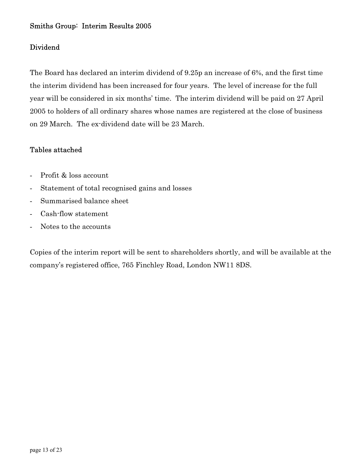### Dividend

The Board has declared an interim dividend of 9.25p an increase of 6%, and the first time the interim dividend has been increased for four years. The level of increase for the full year will be considered in six months' time. The interim dividend will be paid on 27 April 2005 to holders of all ordinary shares whose names are registered at the close of business on 29 March. The ex-dividend date will be 23 March.

### Tables attached

- Profit & loss account
- Statement of total recognised gains and losses
- Summarised balance sheet
- Cash-flow statement
- Notes to the accounts

Copies of the interim report will be sent to shareholders shortly, and will be available at the company's registered office, 765 Finchley Road, London NW11 8DS.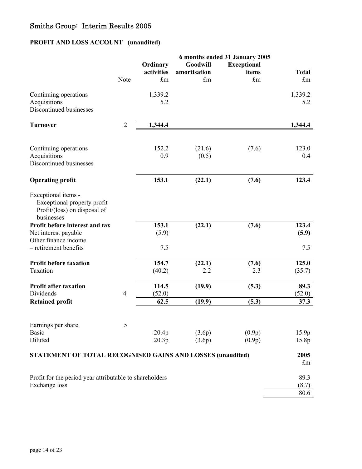# **PROFIT AND LOSS ACCOUNT (unaudited)**

|                                                                   |                |             |              | 6 months ended 31 January 2005 |                      |
|-------------------------------------------------------------------|----------------|-------------|--------------|--------------------------------|----------------------|
|                                                                   |                | Ordinary    | Goodwill     | <b>Exceptional</b>             |                      |
|                                                                   |                | activities  | amortisation | items                          | <b>Total</b>         |
|                                                                   | Note           | $\pounds$ m | $\pounds$ m  | £m                             | $\mathop{\text{fm}}$ |
|                                                                   |                |             |              |                                |                      |
| Continuing operations                                             |                | 1,339.2     |              |                                | 1,339.2              |
| Acquisitions                                                      |                | 5.2         |              |                                | 5.2                  |
| Discontinued businesses                                           |                |             |              |                                |                      |
|                                                                   |                |             |              |                                |                      |
| <b>Turnover</b>                                                   | $\overline{2}$ | 1,344.4     |              |                                | 1,344.4              |
|                                                                   |                |             |              |                                |                      |
| Continuing operations                                             |                | 152.2       | (21.6)       | (7.6)                          | 123.0                |
| Acquisitions                                                      |                | 0.9         | (0.5)        |                                | 0.4                  |
| Discontinued businesses                                           |                |             |              |                                |                      |
|                                                                   |                |             |              |                                |                      |
| <b>Operating profit</b>                                           |                | 153.1       | (22.1)       | (7.6)                          | 123.4                |
| Exceptional items -                                               |                |             |              |                                |                      |
| Exceptional property profit                                       |                |             |              |                                |                      |
| Profit/(loss) on disposal of                                      |                |             |              |                                |                      |
| businesses                                                        |                |             |              |                                |                      |
|                                                                   |                |             |              |                                |                      |
| Profit before interest and tax                                    |                | 153.1       | (22.1)       | (7.6)                          | 123.4                |
| Net interest payable                                              |                | (5.9)       |              |                                | (5.9)                |
| Other finance income                                              |                |             |              |                                |                      |
| - retirement benefits                                             |                | 7.5         |              |                                | 7.5                  |
| <b>Profit before taxation</b>                                     |                | 154.7       | (22.1)       | (7.6)                          | 125.0                |
| Taxation                                                          |                | (40.2)      | 2.2          | 2.3                            | (35.7)               |
|                                                                   |                |             |              |                                |                      |
| <b>Profit after taxation</b>                                      |                | 114.5       | (19.9)       | (5.3)                          | 89.3                 |
| Dividends                                                         | $\overline{4}$ | (52.0)      |              |                                | (52.0)               |
| <b>Retained profit</b>                                            |                | 62.5        | (19.9)       | (5.3)                          | 37.3                 |
|                                                                   |                |             |              |                                |                      |
| Earnings per share                                                | 5              |             |              |                                |                      |
| <b>Basic</b>                                                      |                | 20.4p       | (3.6p)       | (0.9p)                         | 15.9p                |
| Diluted                                                           |                | 20.3p       | (3.6p)       | (0.9p)                         | 15.8p                |
|                                                                   |                |             |              |                                |                      |
| <b>STATEMENT OF TOTAL RECOGNISED GAINS AND LOSSES (unaudited)</b> |                |             |              |                                | 2005                 |
|                                                                   |                |             |              |                                | $\pounds$ m          |
| Profit for the period year attributable to shareholders           |                |             |              |                                | 89.3                 |
|                                                                   |                |             |              |                                |                      |
| Exchange loss                                                     |                |             |              |                                | (8.7)                |
|                                                                   |                |             |              |                                | 80.6                 |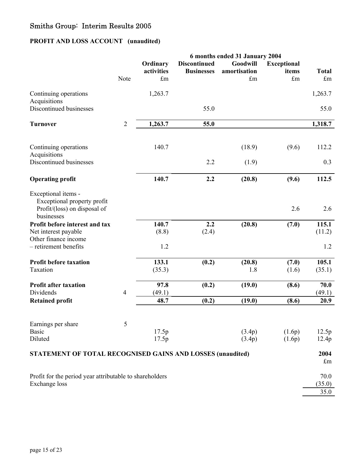# **PROFIT AND LOSS ACCOUNT (unaudited)**

|                                                                                                  |                |                                       |                                          | 6 months ended 31 January 2004                  |                                            |                             |
|--------------------------------------------------------------------------------------------------|----------------|---------------------------------------|------------------------------------------|-------------------------------------------------|--------------------------------------------|-----------------------------|
|                                                                                                  | Note           | Ordinary<br>activities<br>$\pounds$ m | <b>Discontinued</b><br><b>Businesses</b> | Goodwill<br>amortisation<br>$\operatorname{fm}$ | <b>Exceptional</b><br>items<br>$\pounds$ m | <b>Total</b><br>$\pounds$ m |
| Continuing operations<br>Acquisitions                                                            |                | 1,263.7                               |                                          |                                                 |                                            | 1,263.7                     |
| Discontinued businesses                                                                          |                |                                       | 55.0                                     |                                                 |                                            | 55.0                        |
| <b>Turnover</b>                                                                                  | $\overline{2}$ | 1,263.7                               | 55.0                                     |                                                 |                                            | 1,318.7                     |
| Continuing operations<br>Acquisitions                                                            |                | 140.7                                 |                                          | (18.9)                                          | (9.6)                                      | 112.2                       |
| Discontinued businesses                                                                          |                |                                       | 2.2                                      | (1.9)                                           |                                            | 0.3                         |
| <b>Operating profit</b>                                                                          |                | 140.7                                 | 2.2                                      | (20.8)                                          | (9.6)                                      | 112.5                       |
| Exceptional items -<br>Exceptional property profit<br>Profit/(loss) on disposal of<br>businesses |                |                                       |                                          |                                                 | 2.6                                        | 2.6                         |
| Profit before interest and tax<br>Net interest payable<br>Other finance income                   |                | 140.7<br>(8.8)                        | 2.2<br>(2.4)                             | (20.8)                                          | (7.0)                                      | 115.1<br>(11.2)             |
| - retirement benefits                                                                            |                | 1.2                                   |                                          |                                                 |                                            | 1.2                         |
| <b>Profit before taxation</b><br>Taxation                                                        |                | 133.1<br>(35.3)                       | (0.2)                                    | (20.8)<br>1.8                                   | (7.0)<br>(1.6)                             | 105.1<br>(35.1)             |
| <b>Profit after taxation</b><br>Dividends                                                        | $\overline{4}$ | 97.8<br>(49.1)                        | (0.2)                                    | (19.0)                                          | (8.6)                                      | 70.0<br>(49.1)              |
| <b>Retained profit</b>                                                                           |                | 48.7                                  | (0.2)                                    | (19.0)                                          | (8.6)                                      | 20.9                        |
| Earnings per share                                                                               | 5              |                                       |                                          |                                                 |                                            |                             |
| <b>Basic</b><br>Diluted                                                                          |                | 17.5p<br>17.5p                        |                                          | (3.4p)<br>(3.4p)                                | (1.6p)<br>(1.6p)                           | 12.5p<br>12.4p              |
| <b>STATEMENT OF TOTAL RECOGNISED GAINS AND LOSSES (unaudited)</b>                                |                |                                       |                                          |                                                 |                                            | 2004<br>$\pounds$ m         |
| Profit for the period year attributable to shareholders<br><b>Exchange</b> loss                  |                |                                       |                                          |                                                 |                                            | 70.0<br>(35.0)<br>35.0      |
|                                                                                                  |                |                                       |                                          |                                                 |                                            |                             |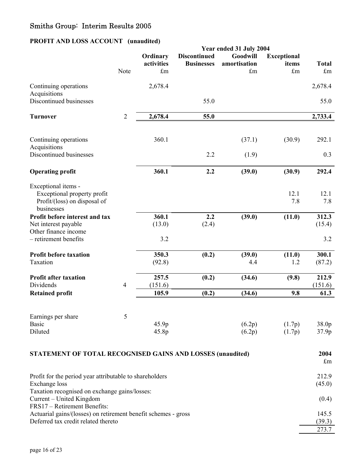# **PROFIT AND LOSS ACCOUNT (unaudited)**

|                                                                                                                                       |                |                              |                                          | Year ended 31 July 2004                 |                                   |                        |
|---------------------------------------------------------------------------------------------------------------------------------------|----------------|------------------------------|------------------------------------------|-----------------------------------------|-----------------------------------|------------------------|
|                                                                                                                                       | Note           | Ordinary<br>activities<br>£m | <b>Discontinued</b><br><b>Businesses</b> | Goodwill<br>amortisation<br>$\pounds$ m | <b>Exceptional</b><br>items<br>£m | <b>Total</b><br>£m     |
| Continuing operations                                                                                                                 |                | 2,678.4                      |                                          |                                         |                                   | 2,678.4                |
| Acquisitions<br>Discontinued businesses                                                                                               |                |                              | 55.0                                     |                                         |                                   | 55.0                   |
| <b>Turnover</b>                                                                                                                       | $\overline{2}$ | 2,678.4                      | 55.0                                     |                                         |                                   | 2,733.4                |
| Continuing operations<br>Acquisitions                                                                                                 |                | 360.1                        |                                          | (37.1)                                  | (30.9)                            | 292.1                  |
| Discontinued businesses                                                                                                               |                |                              | 2.2                                      | (1.9)                                   |                                   | 0.3                    |
| <b>Operating profit</b>                                                                                                               |                | 360.1                        | 2.2                                      | (39.0)                                  | (30.9)                            | 292.4                  |
| Exceptional items -<br>Exceptional property profit<br>Profit/(loss) on disposal of<br>businesses                                      |                |                              |                                          |                                         | 12.1<br>7.8                       | 12.1<br>7.8            |
| Profit before interest and tax<br>Net interest payable<br>Other finance income<br>- retirement benefits                               |                | 360.1<br>(13.0)<br>3.2       | 2.2<br>(2.4)                             | (39.0)                                  | (11.0)                            | 312.3<br>(15.4)<br>3.2 |
| <b>Profit before taxation</b><br>Taxation                                                                                             |                | 350.3<br>(92.8)              | (0.2)                                    | (39.0)<br>4.4                           | (11.0)<br>1.2                     | 300.1<br>(87.2)        |
| <b>Profit after taxation</b><br>Dividends                                                                                             | $\overline{4}$ | 257.5<br>(151.6)             | (0.2)                                    | (34.6)                                  | (9.8)                             | 212.9<br>(151.6)       |
| <b>Retained profit</b>                                                                                                                |                | 105.9                        | (0.2)                                    | (34.6)                                  | 9.8                               | 61.3                   |
| Earnings per share<br><b>Basic</b><br>Diluted                                                                                         | 5              | 45.9p<br>45.8p               |                                          | (6.2p)<br>(6.2p)                        | (1.7p)<br>(1.7p)                  | 38.0p<br>37.9p         |
| STATEMENT OF TOTAL RECOGNISED GAINS AND LOSSES (unaudited)                                                                            |                |                              |                                          |                                         |                                   | 2004<br>$\pounds$ m    |
| Profit for the period year attributable to shareholders<br>Exchange loss                                                              |                |                              |                                          |                                         |                                   | 212.9<br>(45.0)        |
| Taxation recognised on exchange gains/losses:<br>Current - United Kingdom                                                             |                |                              |                                          |                                         |                                   | (0.4)                  |
| FRS17 - Retirement Benefits:<br>Actuarial gains/(losses) on retirement benefit schemes - gross<br>Deferred tax credit related thereto |                |                              |                                          |                                         |                                   | 145.5<br>(39.3)        |

273.7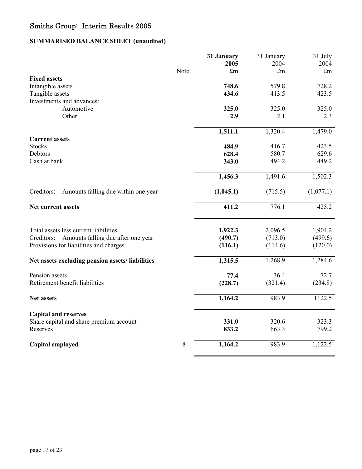# **SUMMARISED BALANCE SHEET (unaudited)**

| Note | 2005<br>$\mathbf{f}_{\mathbf{m}}$ | 2004                                                                       | 2004                                                                       |
|------|-----------------------------------|----------------------------------------------------------------------------|----------------------------------------------------------------------------|
|      |                                   |                                                                            |                                                                            |
|      |                                   | £m                                                                         | $\pounds$ m                                                                |
|      |                                   |                                                                            | 728.2                                                                      |
|      |                                   |                                                                            | 423.5                                                                      |
|      |                                   |                                                                            |                                                                            |
|      |                                   |                                                                            | 325.0                                                                      |
|      | 2.9                               | 2.1                                                                        | 2.3                                                                        |
|      |                                   |                                                                            |                                                                            |
|      | 1,511.1                           | 1,320.4                                                                    | 1,479.0                                                                    |
|      |                                   |                                                                            |                                                                            |
|      | 484.9                             | 416.7                                                                      | 423.5                                                                      |
|      |                                   |                                                                            | 629.6                                                                      |
|      |                                   |                                                                            | 449.2                                                                      |
|      | 1,456.3                           | 1,491.6                                                                    | 1,502.3                                                                    |
|      | (1,045.1)                         | (715.5)                                                                    | (1,077.1)                                                                  |
|      | 411.2                             | 776.1                                                                      | 425.2                                                                      |
|      |                                   |                                                                            | 1,904.2                                                                    |
|      |                                   |                                                                            | (499.6)                                                                    |
|      | (116.1)                           | (114.6)                                                                    | (120.0)                                                                    |
|      |                                   |                                                                            | 1,284.6                                                                    |
|      |                                   |                                                                            |                                                                            |
|      | 77.4                              | 36.4                                                                       | 72.7                                                                       |
|      | (228.7)                           | (321.4)                                                                    | (234.8)                                                                    |
|      | 1,164.2                           | 983.9                                                                      | 1122.5                                                                     |
|      |                                   |                                                                            |                                                                            |
|      | 331.0                             | 320.6                                                                      | 323.3                                                                      |
|      | 833.2                             | 663.3                                                                      | 799.2                                                                      |
| 8    | 1,164.2                           | 983.9                                                                      | 1,122.5                                                                    |
|      |                                   | 748.6<br>434.6<br>325.0<br>628.4<br>343.0<br>1,922.3<br>(490.7)<br>1,315.5 | 579.8<br>413.5<br>325.0<br>580.7<br>494.2<br>2,096.5<br>(713.0)<br>1,268.9 |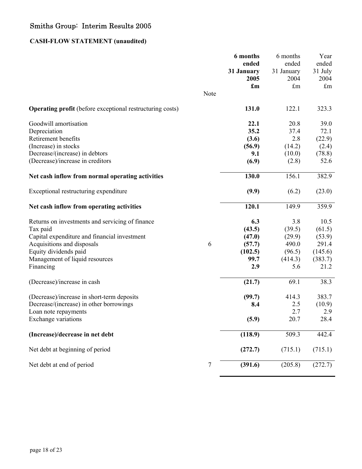# **CASH-FLOW STATEMENT (unaudited)**

|                                                                  |                  | 6 months<br>ended<br>31 January | 6 months<br>ended<br>31 January | Year<br>ended<br>31 July |
|------------------------------------------------------------------|------------------|---------------------------------|---------------------------------|--------------------------|
|                                                                  |                  | 2005                            | 2004                            | 2004                     |
|                                                                  |                  | $\mathbf{f}_{\mathbf{m}}$       | £m                              | $\pounds$ m              |
|                                                                  | Note             |                                 |                                 |                          |
| <b>Operating profit</b> (before exceptional restructuring costs) |                  | 131.0                           | 122.1                           | 323.3                    |
| Goodwill amortisation                                            |                  | 22.1                            | 20.8                            | 39.0                     |
| Depreciation                                                     |                  | 35.2                            | 37.4                            | 72.1                     |
| Retirement benefits                                              |                  | (3.6)                           | 2.8                             | (22.9)                   |
| (Increase) in stocks                                             |                  | (56.9)                          | (14.2)                          | (2.4)                    |
| Decrease/(increase) in debtors                                   |                  | 9.1                             | (10.0)                          | (78.8)                   |
| (Decrease)/increase in creditors                                 |                  | (6.9)                           | (2.8)                           | 52.6                     |
| Net cash inflow from normal operating activities                 |                  | 130.0                           | 156.1                           | 382.9                    |
| Exceptional restructuring expenditure                            |                  | (9.9)                           | (6.2)                           | (23.0)                   |
| Net cash inflow from operating activities                        |                  | 120.1                           | 149.9                           | 359.9                    |
| Returns on investments and servicing of finance                  |                  | 6.3                             | 3.8                             | 10.5                     |
| Tax paid                                                         |                  | (43.5)                          | (39.5)                          | (61.5)                   |
| Capital expenditure and financial investment                     |                  | (47.0)                          | (29.9)                          | (53.9)                   |
| Acquisitions and disposals                                       | 6                | (57.7)                          | 490.0                           | 291.4                    |
| Equity dividends paid                                            |                  | (102.5)                         | (96.5)                          | (145.6)                  |
| Management of liquid resources                                   |                  | 99.7                            | (414.3)                         | (383.7)                  |
| Financing                                                        |                  | 2.9                             | 5.6                             | 21.2                     |
| (Decrease)/increase in cash                                      |                  | (21.7)                          | 69.1                            | 38.3                     |
| (Decrease)/increase in short-term deposits                       |                  | (99.7)                          | 414.3                           | 383.7                    |
| Decrease/(increase) in other borrowings                          |                  | 8.4                             | 2.5                             | (10.9)                   |
| Loan note repayments                                             |                  |                                 | 2.7                             | 2.9                      |
| Exchange variations                                              |                  | (5.9)                           | 20.7                            | 28.4                     |
| (Increase)/decrease in net debt                                  |                  | (118.9)                         | 509.3                           | 442.4                    |
| Net debt at beginning of period                                  |                  | (272.7)                         | (715.1)                         | (715.1)                  |
| Net debt at end of period                                        | $\boldsymbol{7}$ | (391.6)                         | (205.8)                         | (272.7)                  |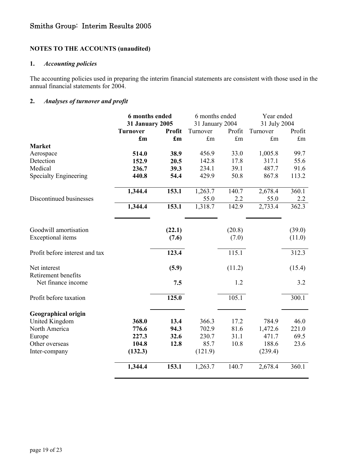### **NOTES TO THE ACCOUNTS (unaudited)**

### **1.** *Accounting policies*

The accounting policies used in preparing the interim financial statements are consistent with those used in the annual financial statements for 2004.

### **2.** *Analyses of turnover and profit*

|                                | 6 months ended            |                           |                 | 6 months ended |              | Year ended  |  |
|--------------------------------|---------------------------|---------------------------|-----------------|----------------|--------------|-------------|--|
|                                | <b>31 January 2005</b>    |                           | 31 January 2004 |                | 31 July 2004 |             |  |
|                                | <b>Turnover</b>           | Profit                    | Turnover        | Profit         | Turnover     | Profit      |  |
|                                | $\mathbf{f}_{\mathbf{m}}$ | $\mathbf{f}_{\mathbf{m}}$ | $\pounds$ m     | $\pounds$ m    | $\pounds$ m  | $\pounds$ m |  |
| <b>Market</b>                  |                           |                           |                 |                |              |             |  |
| Aerospace                      | 514.0                     | 38.9                      | 456.9           | 33.0           | 1,005.8      | 99.7        |  |
| Detection                      | 152.9                     | 20.5                      | 142.8           | 17.8           | 317.1        | 55.6        |  |
| Medical                        | 236.7                     | 39.3                      | 234.1           | 39.1           | 487.7        | 91.6        |  |
| <b>Specialty Engineering</b>   | 440.8                     | 54.4                      | 429.9           | 50.8           | 867.8        | 113.2       |  |
|                                | 1,344.4                   | 153.1                     | 1,263.7         | 140.7          | 2,678.4      | 360.1       |  |
| Discontinued businesses        |                           |                           | 55.0            | 2.2            | 55.0         | 2.2         |  |
|                                | 1,344.4                   | 153.1                     | 1,318.7         | 142.9          | 2,733.4      | 362.3       |  |
| Goodwill amortisation          |                           | (22.1)                    |                 | (20.8)         |              | (39.0)      |  |
| <b>Exceptional</b> items       |                           | (7.6)                     |                 | (7.0)          |              | (11.0)      |  |
|                                |                           |                           |                 |                |              |             |  |
| Profit before interest and tax |                           | 123.4                     |                 | 115.1          |              | 312.3       |  |
| Net interest                   |                           | (5.9)                     |                 | (11.2)         |              | (15.4)      |  |
| Retirement benefits            |                           |                           |                 |                |              |             |  |
| Net finance income             |                           | 7.5                       |                 | 1.2            |              | 3.2         |  |
| Profit before taxation         |                           | 125.0                     |                 | 105.1          |              | 300.1       |  |
| <b>Geographical origin</b>     |                           |                           |                 |                |              |             |  |
| <b>United Kingdom</b>          | 368.0                     | 13.4                      | 366.3           | 17.2           | 784.9        | 46.0        |  |
| North America                  | 776.6                     | 94.3                      | 702.9           | 81.6           | 1,472.6      | 221.0       |  |
| Europe                         | 227.3                     | 32.6                      | 230.7           | 31.1           | 471.7        | 69.5        |  |
| Other overseas                 | 104.8                     | 12.8                      | 85.7            | 10.8           | 188.6        | 23.6        |  |
| Inter-company                  | (132.3)                   |                           | (121.9)         |                | (239.4)      |             |  |
|                                | 1,344.4                   | 153.1                     | 1,263.7         | 140.7          | 2,678.4      | 360.1       |  |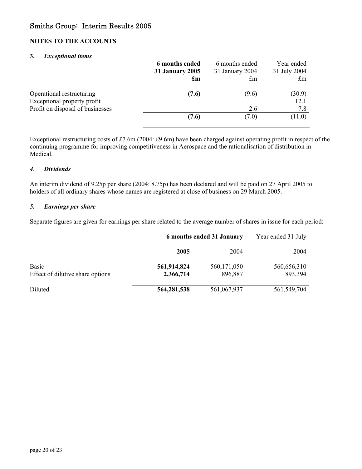### **NOTES TO THE ACCOUNTS**

#### **3.** *Exceptional items*

| 6 months ended<br><b>31 January 2005</b><br>$\mathbf{f}_{\mathbf{m}}$ | 6 months ended<br>31 January 2004<br>$\mathop{\text{fm}}$ | Year ended<br>31 July 2004<br>$\mathbf{f}_{\text{m}}$ |
|-----------------------------------------------------------------------|-----------------------------------------------------------|-------------------------------------------------------|
| (7.6)                                                                 | (9.6)                                                     | (30.9)<br>12.1<br>7.8                                 |
| (7.6)                                                                 | (7.0)                                                     | (11.0)                                                |
|                                                                       |                                                           | 2.6                                                   |

Exceptional restructuring costs of £7.6m (2004: £9.6m) have been charged against operating profit in respect of the continuing programme for improving competitiveness in Aerospace and the rationalisation of distribution in Medical.

#### *4. Dividends*

An interim dividend of 9.25p per share (2004: 8.75p) has been declared and will be paid on 27 April 2005 to holders of all ordinary shares whose names are registered at close of business on 29 March 2005.

#### *5. Earnings per share*

Separate figures are given for earnings per share related to the average number of shares in issue for each period:

|                                           | 6 months ended 31 January |                        | Year ended 31 July     |  |
|-------------------------------------------|---------------------------|------------------------|------------------------|--|
|                                           | 2005                      | 2004                   | 2004                   |  |
| Basic<br>Effect of dilutive share options | 561,914,824<br>2,366,714  | 560,171,050<br>896,887 | 560,656,310<br>893,394 |  |
| Diluted                                   | 564, 281, 538             | 561,067,937            | 561, 549, 704          |  |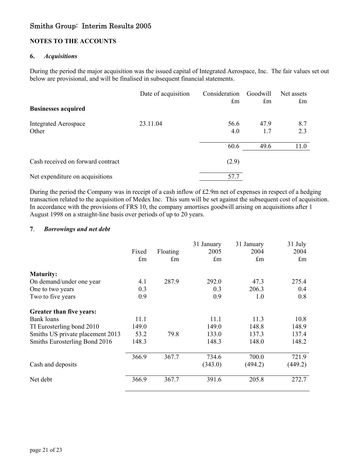### **NOTES TO THE ACCOUNTS**

#### **6.** *Acquisitions*

During the period the major acquisition was the issued capital of Integrated Aerospace, Inc. The fair values set out below are provisional, and will be finalised in subsequent financial statements.

|                                   | Date of acquisition | Consideration | Goodwill             | Net assets              |
|-----------------------------------|---------------------|---------------|----------------------|-------------------------|
| <b>Businesses acquired</b>        |                     | $\pounds$ m   | $\mathop{\text{fm}}$ | $\mathbf{f}_{\text{m}}$ |
|                                   |                     |               |                      |                         |
| <b>Integrated Aerospace</b>       | 23.11.04            | 56.6          | 47.9                 | 8.7                     |
| Other                             |                     | 4.0           | 1.7                  | 2.3                     |
|                                   |                     | 60.6          | 49.6                 | 11.0                    |
| Cash received on forward contract |                     | (2.9)         |                      |                         |
| Net expenditure on acquisitions   |                     | 57.7          |                      |                         |

During the period the Company was in receipt of a cash inflow of £2.9m net of expenses in respect of a hedging transaction related to the acquisition of Medex Inc. This sum will be set against the subsequent cost of acquisition. In accordance with the provisions of FRS 10, the company amortises goodwill arising on acquisitions after 1 August 1998 on a straight-line basis over periods of up to 20 years.

#### **7**. *Borrowings and net debt*

|                                  |             |                      | 31 January  | 31 January  | 31 July     |
|----------------------------------|-------------|----------------------|-------------|-------------|-------------|
|                                  | Fixed       | Floating             | 2005        | 2004        | 2004        |
|                                  | $\pounds$ m | $\mathop{\text{fm}}$ | $\pounds$ m | $\pounds$ m | $\pounds$ m |
| <b>Maturity:</b>                 |             |                      |             |             |             |
| On demand/under one year         | 4.1         | 287.9                | 292.0       | 47.3        | 275.4       |
| One to two years                 | 0.3         |                      | 0.3         | 206.3       | 0.4         |
| Two to five years                | 0.9         |                      | 0.9         | 1.0         | 0.8         |
| Greater than five years:         |             |                      |             |             |             |
| <b>Bank loans</b>                | 11.1        |                      | 11.1        | 11.3        | 10.8        |
| TI Eurosterling bond 2010        | 149.0       |                      | 149.0       | 148.8       | 148.9       |
| Smiths US private placement 2013 | 53.2        | 79.8                 | 133.0       | 137.3       | 137.4       |
| Smiths Eurosterling Bond 2016    | 148.3       |                      | 148.3       | 148.0       | 148.2       |
|                                  | 366.9       | 367.7                | 734.6       | 700.0       | 721.9       |
| Cash and deposits                |             |                      | (343.0)     | (494.2)     | (449.2)     |
| Net debt                         | 366.9       | 367.7                | 391.6       | 205.8       | 272.7       |
|                                  |             |                      |             |             |             |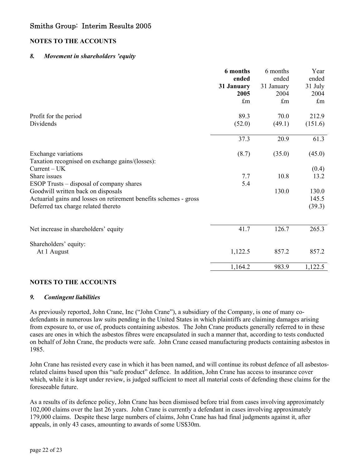### **NOTES TO THE ACCOUNTS**

#### *8. Movement in shareholders 'equity*

|                                                                                                                                                | 6 months<br>ended<br>31 January<br>2005<br>$\pounds$ m | 6 months<br>ended<br>31 January<br>2004<br>£m | Year<br>ended<br>31 July<br>2004<br>$\pounds$ m |
|------------------------------------------------------------------------------------------------------------------------------------------------|--------------------------------------------------------|-----------------------------------------------|-------------------------------------------------|
| Profit for the period                                                                                                                          | 89.3                                                   | 70.0                                          | 212.9                                           |
| Dividends                                                                                                                                      | (52.0)                                                 | (49.1)                                        | (151.6)                                         |
|                                                                                                                                                | 37.3                                                   | 20.9                                          | 61.3                                            |
| Exchange variations<br>Taxation recognised on exchange gains/(losses):                                                                         | (8.7)                                                  | (35.0)                                        | (45.0)                                          |
| $Current - UK$                                                                                                                                 |                                                        |                                               | (0.4)                                           |
| Share issues<br>ESOP Trusts – disposal of company shares                                                                                       | 7.7<br>5.4                                             | 10.8                                          | 13.2                                            |
| Goodwill written back on disposals<br>Actuarial gains and losses on retirement benefits schemes - gross<br>Deferred tax charge related thereto |                                                        | 130.0                                         | 130.0<br>145.5<br>(39.3)                        |
| Net increase in shareholders' equity                                                                                                           | 41.7                                                   | 126.7                                         | 265.3                                           |
| Shareholders' equity:                                                                                                                          |                                                        |                                               |                                                 |
| At 1 August                                                                                                                                    | 1,122.5                                                | 857.2                                         | 857.2                                           |
|                                                                                                                                                | 1,164.2                                                | 983.9                                         | 1,122.5                                         |

### **NOTES TO THE ACCOUNTS**

#### *9. Contingent liabilities*

As previously reported, John Crane, Inc ("John Crane"), a subsidiary of the Company, is one of many codefendants in numerous law suits pending in the United States in which plaintiffs are claiming damages arising from exposure to, or use of, products containing asbestos. The John Crane products generally referred to in these cases are ones in which the asbestos fibres were encapsulated in such a manner that, according to tests conducted on behalf of John Crane, the products were safe. John Crane ceased manufacturing products containing asbestos in 1985.

John Crane has resisted every case in which it has been named, and will continue its robust defence of all asbestosrelated claims based upon this "safe product" defence. In addition, John Crane has access to insurance cover which, while it is kept under review, is judged sufficient to meet all material costs of defending these claims for the foreseeable future.

As a results of its defence policy, John Crane has been dismissed before trial from cases involving approximately 102,000 claims over the last 26 years. John Crane is currently a defendant in cases involving approximately 179,000 claims. Despite these large numbers of claims, John Crane has had final judgments against it, after appeals, in only 43 cases, amounting to awards of some US\$30m.